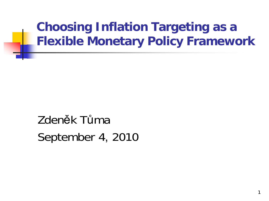**Choosing Inflation Targeting as a Flexible Monetary Policy Framework**

1

Zdeněk TůmaSeptember 4, 2010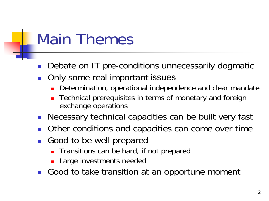## Main Themes

- $\mathcal{L}_{\mathcal{A}}$ Debate on IT pre-conditions unnecessarily dogmatic
- $\overline{\phantom{a}}$  Only some real important issues
	- П Determination, operational independence and clear mandate
	- ▉ Technical prerequisites in terms of monetary and foreign exchange operations
- $\overline{\phantom{a}}$ Necessary technical capacities can be built very fast
- F Other conditions and capacities can come over time
- $\overline{\phantom{a}}$  Good to be well prepared
	- ▉ Transitions can be hard, if not prepared
	- **Large investments needed**
- $\overline{\phantom{a}}$ Good to take transition at an opportune moment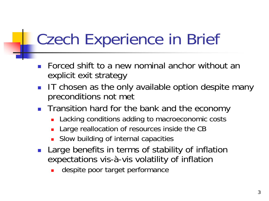## Czech Experience in Brief

- $\overline{\phantom{a}}$  Forced shift to a new nominal anchor without an explicit exit strategy
- $\| \cdot \|$  IT chosen as the only available option despite many preconditions not met
- **The Transition hard for the bank and the economy** 
	- **Lacking conditions adding to macroeconomic costs**
	- П Large reallocation of resources inside the CB
	- П Slow building of internal capacities
- $\overline{\phantom{a}}$  Large benefits in terms of stability of inflation expectations vis-à-vis volatility of inflation
	- П despite poor target performance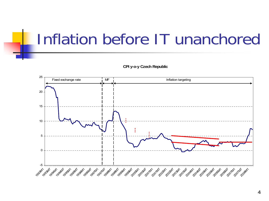## Inflation before IT unanchored

**CPI y-o-y Czech Republic**

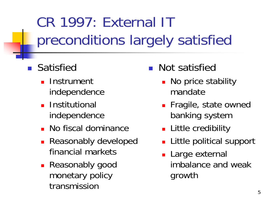CR 1997: External IT preconditions largely satisfied

- **B** Satisfied
	- **La** Instrument independence
	- **Institutional** independence
	- No fiscal dominance
	- **Reasonably developed** financial markets
	- Reasonably good monetary policy transmission
- **Not satisfied** 
	- **No price stability** mandate
	- **Fragile, state owned** banking system
	- **Little credibility**
	- **Little political support**
	- **Large external** imbalance and weak growth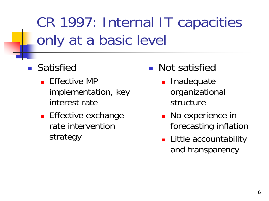CR 1997: Internal IT capacities only at a basic level

- **B** Satisfied
	- **Effective MP** implementation, key interest rate
	- **Effective exchange** rate intervention strategy
- **Not satisfied** 
	- **Inadequate** organizational structure
	- No experience in forecasting inflation
	- **Little accountability** and transparency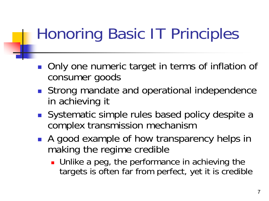## Honoring Basic IT Principles

- Only one numeric target in terms of inflation of consumer goods
- **Strong mandate and operational independence** in achieving it
- Systematic simple rules based policy despite a complex transmission mechanism
- **A** good example of how transparency helps in making the regime credible
	- **Unlike a peg, the performance in achieving the** targets is often far from perfect, yet it is credible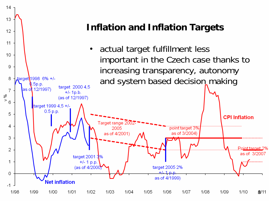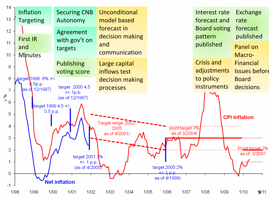